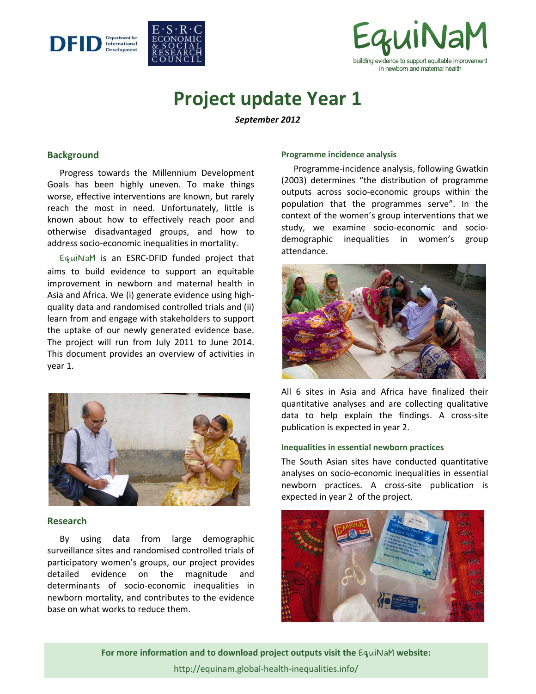



# **Project update Year 1**

*September 2012* 

## **Background**

 Progress towards the Millennium Development Goals has been highly uneven. To make things worse, effective interventions are known, but rarely reach the most in need. Unfortunately, little is known about how to effectively reach poor and otherwise disadvantaged groups, and how to address socio-economic inequalities in mortality.

 **EquiNaM** is an ESRC-DFID funded project that aims to build evidence to support an equitable improvement in newborn and maternal health in Asia and Africa. We (i) generate evidence using highquality data and randomised controlled trials and (ii) learn from and engage with stakeholders to support the uptake of our newly generated evidence base. The project will run from July 2011 to June 2014. This document provides an overview of activities in year 1.



## **Research**

 By using data from large demographic surveillance sites and randomised controlled trials of participatory women's groups, our project provides detailed evidence on the magnitude and determinants of socio-economic inequalities in newborn mortality, and contributes to the evidence base on what works to reduce them.

#### **Programme incidence analysis**

 Programme-incidence analysis, following Gwatkin (2003) determines "the distribution of programme outputs across socio-economic groups within the population that the programmes serve". In the context of the women's group interventions that we study, we examine socio-economic and sociodemographic inequalities in women's group attendance.



All 6 sites in Asia and Africa have finalized their quantitative analyses and are collecting qualitative data to help explain the findings. A cross-site publication is expected in year 2.

## **Inequalities in essential newborn practices**

The South Asian sites have conducted quantitative analyses on socio-economic inequalities in essential newborn practices. A cross-site publication is expected in year 2 of the project.



**For more information and to download project outputs visit the EquiNaM website:** http://equinam.global-health-inequalities.info/